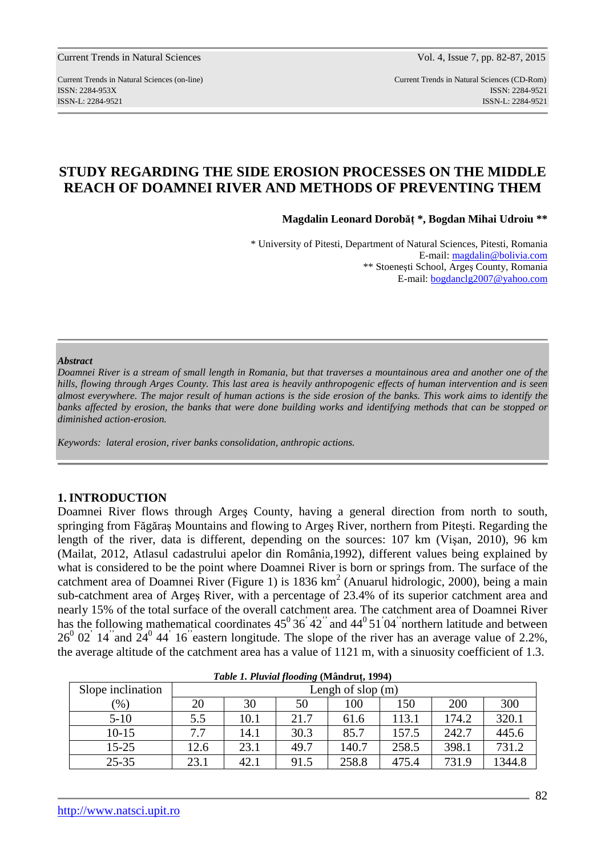Current Trends in Natural Sciences (on-line) Current Trends in Natural Sciences (CD-Rom) ISSN: 2284-953XISSN: 2284-9521 ISSN-L: 2284-9521 ISSN-L: 2284-9521

# **STUDY REGARDING THE SIDE EROSION PROCESSES ON THE MIDDLE REACH OF DOAMNEI RIVER AND METHODS OF PREVENTING THEM**

**Magdalin Leonard Dorobăţ \*, Bogdan Mihai Udroiu \*\*** 

\* University of Pitesti, Department of Natural Sciences, Pitesti, Romania E-mail: magdalin@bolivia.com \*\* Stoeneşti School, Argeş County, Romania E-mail: bogdanclg2007@yahoo.com

#### *Abstract*

*Doamnei River is a stream of small length in Romania, but that traverses a mountainous area and another one of the hills, flowing through Arges County. This last area is heavily anthropogenic effects of human intervention and is seen almost everywhere. The major result of human actions is the side erosion of the banks. This work aims to identify the banks affected by erosion, the banks that were done building works and identifying methods that can be stopped or diminished action-erosion.* 

*Keywords: lateral erosion, river banks consolidation, anthropic actions.* 

### **1. INTRODUCTION**

Doamnei River flows through Argeş County, having a general direction from north to south, springing from Făgăraş Mountains and flowing to Argeş River, northern from Piteşti. Regarding the length of the river, data is different, depending on the sources: 107 km (Vişan, 2010), 96 km (Mailat, 2012, Atlasul cadastrului apelor din România,1992), different values being explained by what is considered to be the point where Doamnei River is born or springs from. The surface of the catchment area of Doamnei River (Figure 1) is 1836  $km^2$  (Anuarul hidrologic, 2000), being a main sub-catchment area of Argeş River, with a percentage of 23.4% of its superior catchment area and nearly 15% of the total surface of the overall catchment area. The catchment area of Doamnei River has the following mathematical coordinates  $45^{\circ}36^{\circ}42^{\circ}$  and  $44^{\circ}51^{\circ}04^{\circ}$  northern latitude and between  $26^0$  02<sup>'</sup> 14<sup>"</sup> and  $24^0$  44<sup>'</sup> 16<sup>"</sup> eastern longitude. The slope of the river has an average value of 2.2%, the average altitude of the catchment area has a value of 1121 m, with a sinuosity coefficient of 1.3.

| <i>Lable 1.1 lavial flooding</i> (Manufut, 1994) |                     |      |      |       |       |       |        |  |
|--------------------------------------------------|---------------------|------|------|-------|-------|-------|--------|--|
| Slope inclination                                | Lengh of slop $(m)$ |      |      |       |       |       |        |  |
| $\left( \% \right)$                              | 20                  | 30   | 50   | 100   | 150   | 200   | 300    |  |
| $5-10$                                           | 5.5                 | 10.1 | 21.7 | 61.6  | 113.1 | 174.2 | 320.1  |  |
| $10-15$                                          | 7.7                 | 14.1 | 30.3 | 85.7  | 157.5 | 242.7 | 445.6  |  |
| $15 - 25$                                        | 12.6                | 23.1 | 49.7 | 140.7 | 258.5 | 398.1 | 731.2  |  |
| $25 - 35$                                        | 23.1                | 42.1 | 91.5 | 258.8 | 475.4 | 731.9 | 1344.8 |  |

| Table 1. Pluvial flooding (Mândruț, 1994) |  |
|-------------------------------------------|--|
|-------------------------------------------|--|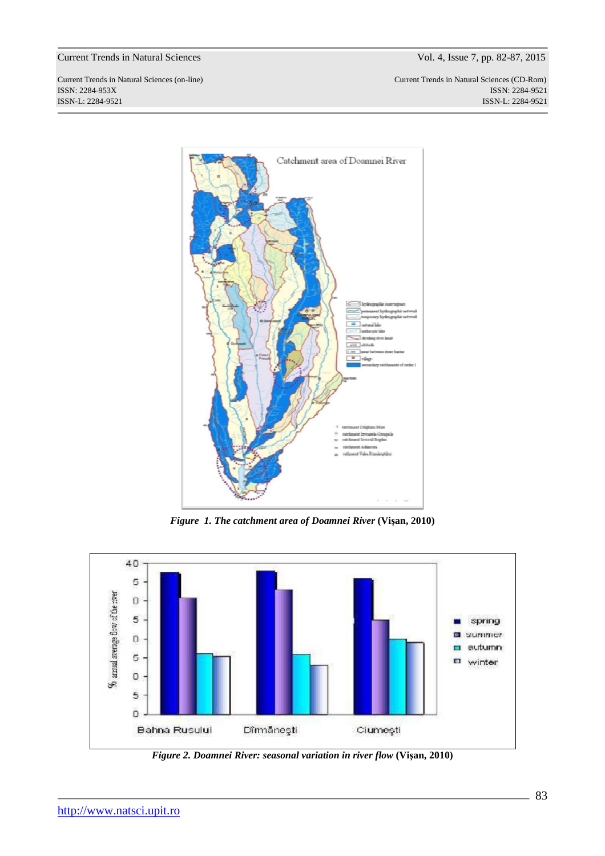Current Trends in Natural Sciences (on-line) Current Trends in Natural Sciences (CD-Rom) ISSN: 2284-953XISSN: 2284-9521 ISSN-L: 2284-9521 ISSN-L: 2284-9521



*Figure 1. The catchment area of Doamnei River* **(Vişan, 2010)** 



*Figure 2. Doamnei River: seasonal variation in river flow* **(Vişan, 2010)**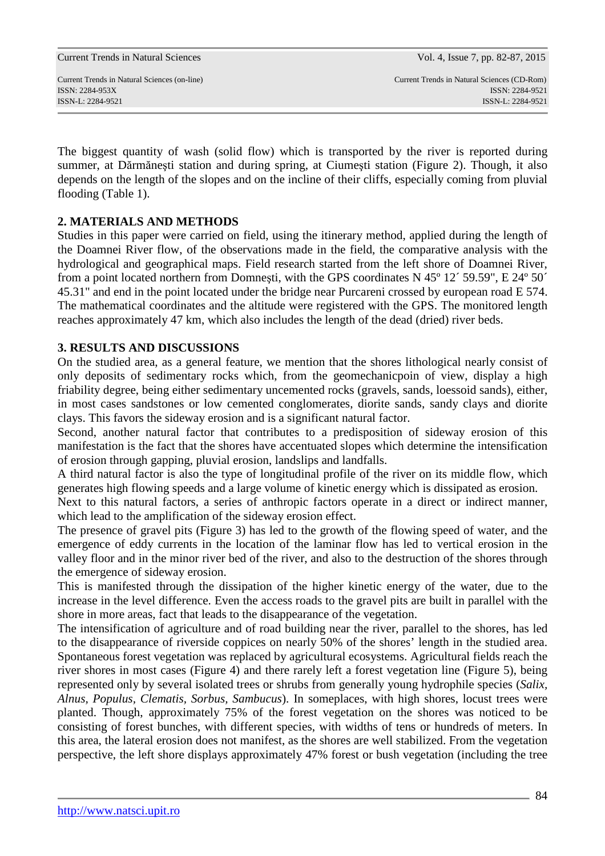The biggest quantity of wash (solid flow) which is transported by the river is reported during summer, at Dărmăneşti station and during spring, at Ciumeşti station (Figure 2). Though, it also depends on the length of the slopes and on the incline of their cliffs, especially coming from pluvial flooding (Table 1).

## **2. MATERIALS AND METHODS**

Studies in this paper were carried on field, using the itinerary method, applied during the length of the Doamnei River flow, of the observations made in the field, the comparative analysis with the hydrological and geographical maps. Field research started from the left shore of Doamnei River, from a point located northern from Domneşti, with the GPS coordinates N 45º 12´ 59.59", E 24º 50´ 45.31" and end in the point located under the bridge near Purcareni crossed by european road E 574. The mathematical coordinates and the altitude were registered with the GPS. The monitored length reaches approximately 47 km, which also includes the length of the dead (dried) river beds.

## **3. RESULTS AND DISCUSSIONS**

On the studied area, as a general feature, we mention that the shores lithological nearly consist of only deposits of sedimentary rocks which, from the geomechanicpoin of view, display a high friability degree, being either sedimentary uncemented rocks (gravels, sands, loessoid sands), either, in most cases sandstones or low cemented conglomerates, diorite sands, sandy clays and diorite clays. This favors the sideway erosion and is a significant natural factor.

Second, another natural factor that contributes to a predisposition of sideway erosion of this manifestation is the fact that the shores have accentuated slopes which determine the intensification of erosion through gapping, pluvial erosion, landslips and landfalls.

A third natural factor is also the type of longitudinal profile of the river on its middle flow, which generates high flowing speeds and a large volume of kinetic energy which is dissipated as erosion.

Next to this natural factors, a series of anthropic factors operate in a direct or indirect manner, which lead to the amplification of the sideway erosion effect.

The presence of gravel pits (Figure 3) has led to the growth of the flowing speed of water, and the emergence of eddy currents in the location of the laminar flow has led to vertical erosion in the valley floor and in the minor river bed of the river, and also to the destruction of the shores through the emergence of sideway erosion.

This is manifested through the dissipation of the higher kinetic energy of the water, due to the increase in the level difference. Even the access roads to the gravel pits are built in parallel with the shore in more areas, fact that leads to the disappearance of the vegetation.

The intensification of agriculture and of road building near the river, parallel to the shores, has led to the disappearance of riverside coppices on nearly 50% of the shores' length in the studied area. Spontaneous forest vegetation was replaced by agricultural ecosystems. Agricultural fields reach the river shores in most cases (Figure 4) and there rarely left a forest vegetation line (Figure 5), being represented only by several isolated trees or shrubs from generally young hydrophile species (*Salix, Alnus, Populus, Clematis, Sorbus, Sambucus*). In someplaces, with high shores, locust trees were planted. Though, approximately 75% of the forest vegetation on the shores was noticed to be consisting of forest bunches, with different species, with widths of tens or hundreds of meters. In this area, the lateral erosion does not manifest, as the shores are well stabilized. From the vegetation perspective, the left shore displays approximately 47% forest or bush vegetation (including the tree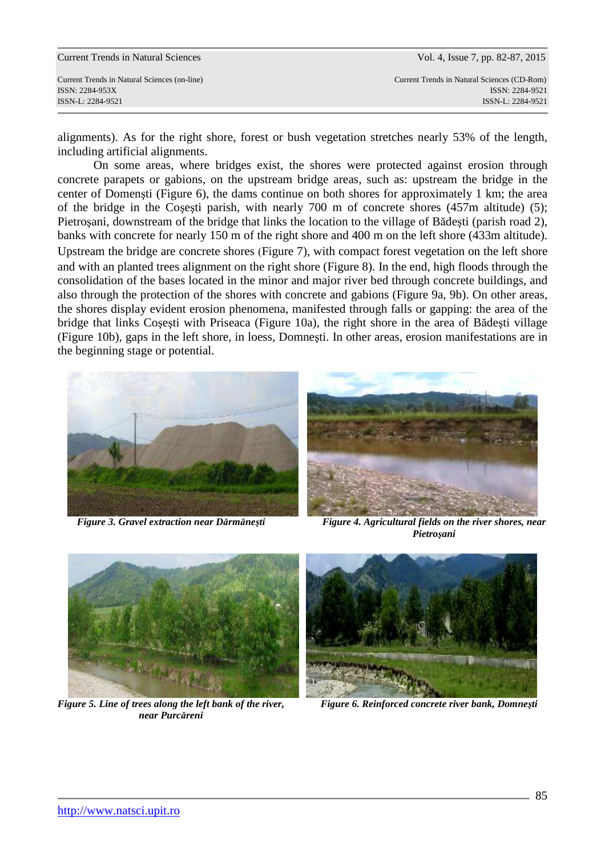alignments). As for the right shore, forest or bush vegetation stretches nearly 53% of the length, including artificial alignments.

On some areas, where bridges exist, the shores were protected against erosion through concrete parapets or gabions, on the upstream bridge areas, such as: upstream the bridge in the center of Domenşti (Figure 6), the dams continue on both shores for approximately 1 km; the area of the bridge in the Coşeşti parish, with nearly 700 m of concrete shores (457m altitude) (5); Pietroşani, downstream of the bridge that links the location to the village of Bădeşti (parish road 2), banks with concrete for nearly 150 m of the right shore and 400 m on the left shore (433m altitude). Upstream the bridge are concrete shores (Figure 7), with compact forest vegetation on the left shore and with an planted trees alignment on the right shore (Figure 8). In the end, high floods through the consolidation of the bases located in the minor and major river bed through concrete buildings, and also through the protection of the shores with concrete and gabions (Figure 9a, 9b). On other areas, the shores display evident erosion phenomena, manifested through falls or gapping: the area of the bridge that links Coşeşti with Priseaca (Figure 10a), the right shore in the area of Bădeşti village (Figure 10b), gaps in the left shore, in loess, Domneşti. In other areas, erosion manifestations are in the beginning stage or potential.

 $\overline{\phantom{a}}$ 





*Figure 3. Gravel extraction near Dărmăneşti**Figure 4. Agricultural fields on the river shores, near Pietroşani* 



*Figure 5. Line of trees along the left bank of the river, near Purcăreni* 



*Figure 6. Reinforced concrete river bank, Domneşti*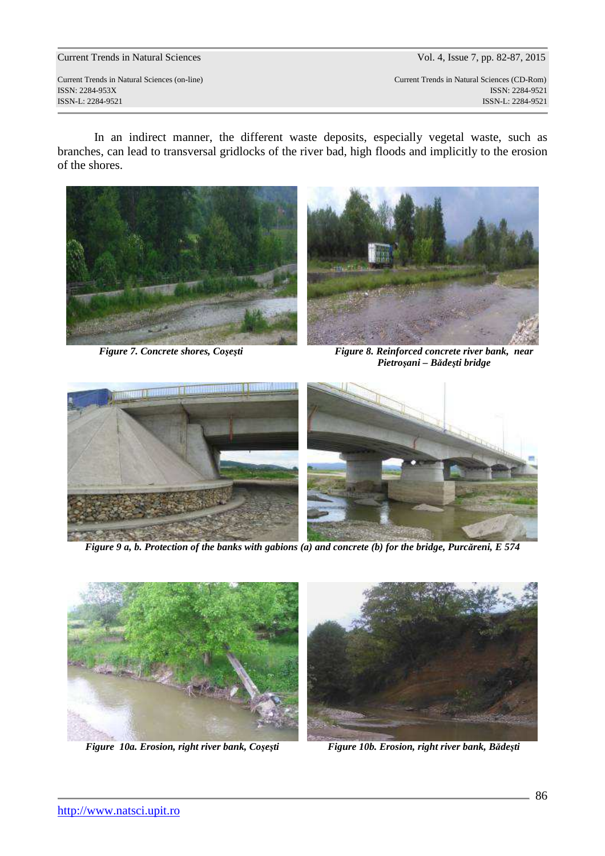Current Trends in Natural Sciences (on-line) Current Trends in Natural Sciences (CD-Rom) ISSN: 2284-953XISSN: 2284-9521 ISSN-L: 2284-9521 ISSN-L: 2284-9521

In an indirect manner, the different waste deposits, especially vegetal waste, such as branches, can lead to transversal gridlocks of the river bad, high floods and implicitly to the erosion of the shores.





*Figure 7. Concrete shores, Coşeşti* Figure 8. Reinforced concrete river bank, near *Pietroşani – Bădeşti bridge* 



*Figure 9 a, b. Protection of the banks with gabions (a) and concrete (b) for the bridge, Purcăreni, E 574* 



*Figure 10a. Erosion, right river bank, Cosesti* Figure 10b. Erosion, right river bank, Bădești